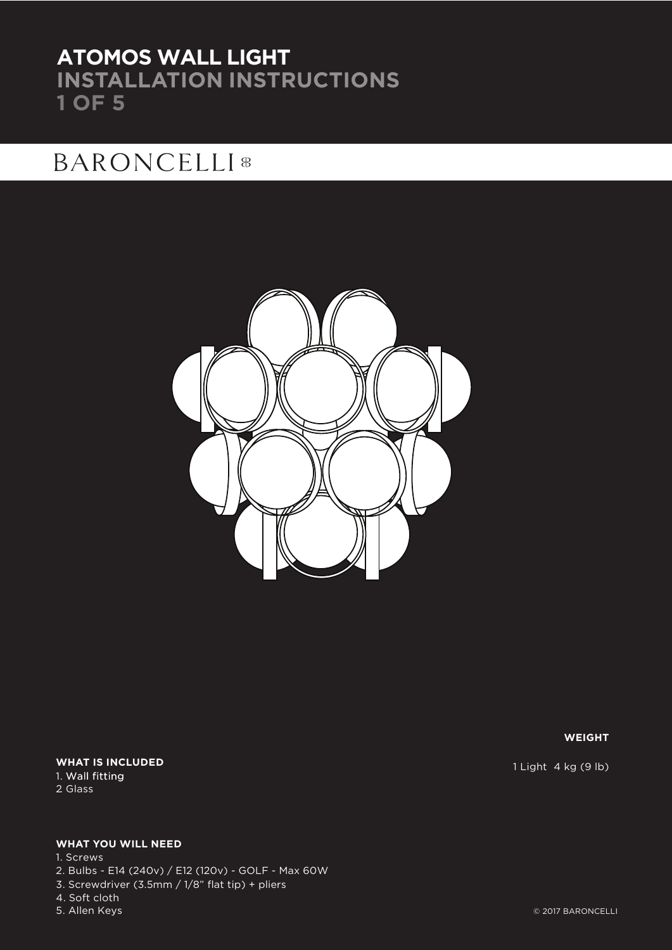## **ATOMOS WALL LIGHT INSTALLATION INSTRUCTIONS 1 OF 5**

## **BARONCELLI** ®



### **WHAT IS INCLUDED** 1. Wall fitting

2. Glass

### **WHAT YOU WILL NEED**

5. Allen Keys 1. Screws 2. Bulbs - E14 (240v) / E12 (120v) - GOLF - Max 60W 3. Screwdriver (3.5mm / 1/8" flat tip) + pliers 4. Soft cloth

**WEIGHT**

1 Light 4 kg (9 lb)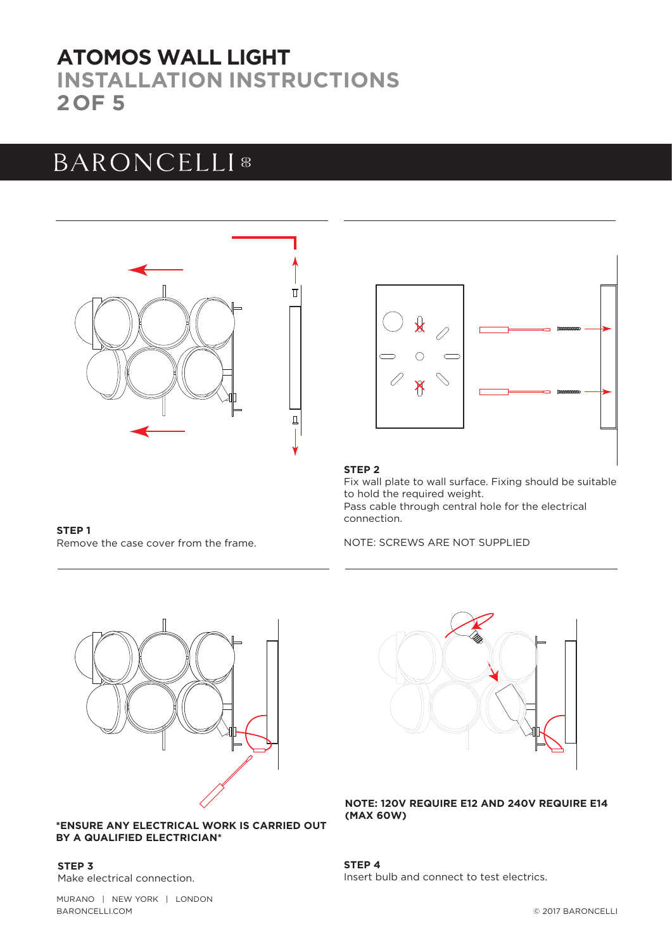## **ATOMOS WALL LIGHT INSTALLATION INSTRUCTIONS 2OF 5**

# **BARONCELLI**<sup>8</sup>



### **STEP 1** Remove the case cover from the frame.



### **STEP 2**

Fix wall plate to wall surface. Fixing should be suitable to hold the required weight. Pass cable through central hole for the electrical connection.

NOTE: SCREWS ARE NOT SUPPLIED



### **\*ENSURE ANY ELECTRICAL WORK IS CARRIED OUT BY A QUALIFIED ELECTRICIAN\***

**STEP 3** Make electrical connection.



**NOTE: 120V REQUIRE E12 AND 240V REQUIRE E14 (MAX 60W)** 

**STEP 4** Insert bulb and connect to test electrics.

MURANO | NEW YORK | LONDON BARONCELLI.COM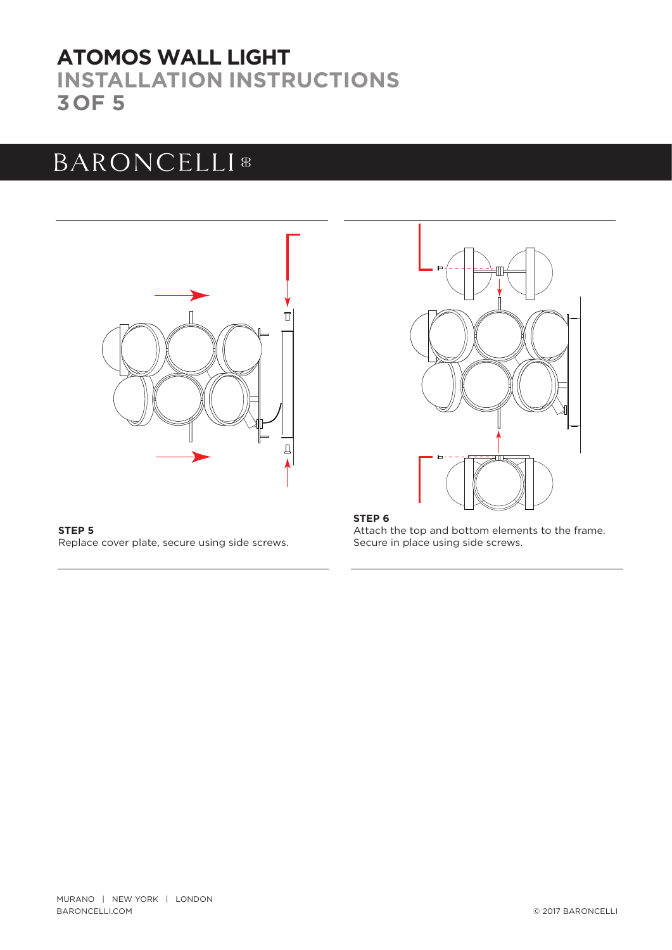## **INSTALLATION INSTRUCTIONS 3OF 5 ATOMOS WALL LIGHT**

# BARONCELLI<sup>8</sup>





**STEP 5** Replace cover plate, secure using side screws.

### **STEP 6**

Attach the top and bottom elements to the frame. Secure in place using side screws.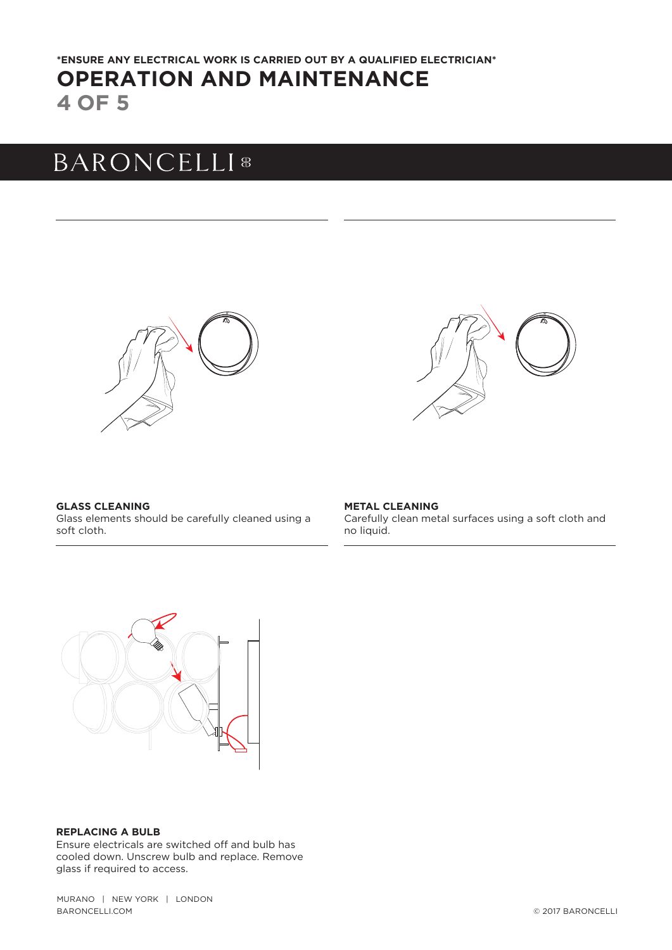## **4 OF 5 OPERATION AND MAINTENANCE \*ENSURE ANY ELECTRICAL WORK IS CARRIED OUT BY A QUALIFIED ELECTRICIAN\***

# **BARONCELLI**<sup>8</sup>





**GLASS CLEANING** Glass elements should be carefully cleaned using a soft cloth.

**METAL CLEANING** Carefully clean metal surfaces using a soft cloth and no liquid.



#### **REPLACING A BULB**

Ensure electricals are switched off and bulb has cooled down. Unscrew bulb and replace. Remove glass if required to access.